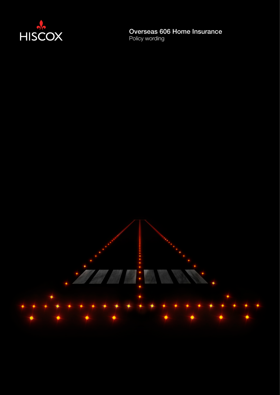

# Overseas 606 Home Insurance

Policy wording

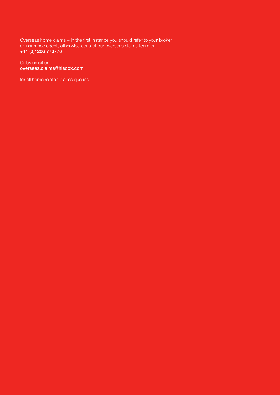Overseas home claims – in the first instance you should refer to your broker or insurance agent, otherwise contact our overseas claims team on: +44 (0)1206 773776

#### Or by email on: overseas.claims@hiscox.com

for all home related claims queries.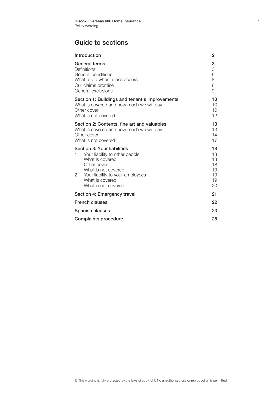#### Guide to sections

| Introduction                                                                                                                                                                                                  | 2                                            |
|---------------------------------------------------------------------------------------------------------------------------------------------------------------------------------------------------------------|----------------------------------------------|
| General terms<br>Definitions<br>General conditions<br>What to do when a loss occurs<br>Our claims promise<br>General exclusions                                                                               | 3<br>3<br>6<br>8<br>8<br>9                   |
| Section 1: Buildings and tenant's improvements<br>What is covered and how much we will pay<br>Other cover<br>What is not covered                                                                              | 10<br>10<br>$10^{\circ}$<br>12               |
| Section 2: Contents, fine art and valuables<br>What is covered and how much we will pay<br>Other cover<br>What is not covered                                                                                 | 13<br>13<br>14<br>17                         |
| Section 3: Your liabilities<br>1. Your liability to other people<br>What is covered<br>Other cover<br>What is not covered<br>2.<br>Your liability to your employees<br>What is covered<br>What is not covered | 18<br>18<br>18<br>18<br>19<br>19<br>19<br>20 |
| Section 4: Emergency travel                                                                                                                                                                                   | 21                                           |
| <b>French clauses</b>                                                                                                                                                                                         | 22                                           |
| Spanish clauses                                                                                                                                                                                               | 23                                           |
| Complaints procedure                                                                                                                                                                                          | 25                                           |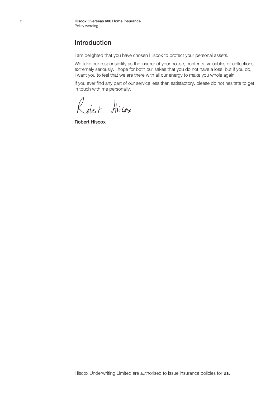#### Introduction

I am delighted that you have chosen Hiscox to protect your personal assets.

We take our responsibility as the insurer of your house, contents, valuables or collections extremely seriously. I hope for both our sakes that you do not have a loss, but if you do, I want you to feel that we are there with all our energy to make you whole again.

If you ever find any part of our service less than satisfactory, please do not hesitate to get in touch with me personally.

Robert Hiras

Robert Hiscox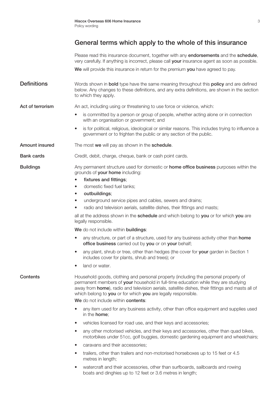Please read this insurance document, together with any endorsements and the schedule. very carefully. If anything is incorrect, please call your insurance agent as soon as possible.

We will provide this insurance in return for the premium you have agreed to pay.

**Definitions** Words shown in **bold** type have the same meaning throughout this **policy** and are defined below. Any changes to these definitions, and any extra definitions, are shown in the section to which they apply.

Act of terrorism An act, including using or threatening to use force or violence, which:

- is committed by a person or group of people, whether acting alone or in connection with an organisation or government; and
- is for political, religious, ideological or similar reasons. This includes trying to influence a government or to frighten the public or any section of the public.

Amount insured The most we will pay as shown in the schedule.

#### Bank cards Credit, debit, charge, cheque, bank or cash point cards.

**Buildings** Any permanent structure used for domestic or **home office business** purposes within the grounds of your home including:

- fixtures and fittings:
- domestic fixed fuel tanks;
- outbuildings;
- underground service pipes and cables, sewers and drains;
- radio and television aerials, satellite dishes, their fittings and masts;

all at the address shown in the schedule and which belong to you or for which you are legally responsible.

We do not include within buildings:

- any structure, or part of a structure, used for any business activity other than home office business carried out by you or on your behalf;
- any plant, shrub or tree, other than hedges (the cover for your garden in Section 1 includes cover for plants, shrub and trees); or
- land or water.

Contents Household goods, clothing and personal property (including the personal property of permanent members of your household in full-time education while they are studying away from **home**), radio and television aerials, satellite dishes, their fittings and masts all of which belong to you or for which you are legally responsible.

We do not include within contents:

- any item used for any business activity, other than office equipment and supplies used in the home;
- vehicles licensed for road use, and their keys and accessories;
- any other motorised vehicles, and their keys and accessories, other than quad bikes, motorbikes under 51cc, golf buggies, domestic gardening equipment and wheelchairs;
- caravans and their accessories;
- trailers, other than trailers and non-motorised horseboxes up to 15 feet or 4.5 metres in length;
- watercraft and their accessories, other than surfboards, sailboards and rowing boats and dinghies up to 12 feet or 3.6 metres in length;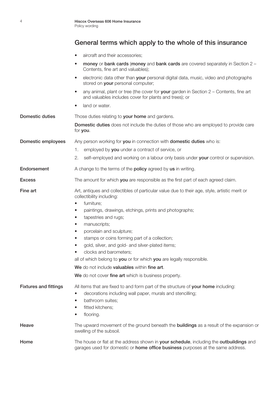- aircraft and their accessories;
- money or bank cards (money and bank cards are covered separately in Section 2 -Contents, fine art and valuables);
- electronic data other than your personal digital data, music, video and photographs stored on your personal computer;
- any animal, plant or tree (the cover for your garden in Section  $2 -$  Contents, fine art and valuables includes cover for plants and trees); or
- land or water.

| Domestic duties              | Those duties relating to your home and gardens.                                                                                                                                                                                             |
|------------------------------|---------------------------------------------------------------------------------------------------------------------------------------------------------------------------------------------------------------------------------------------|
|                              | <b>Domestic duties</b> does not include the duties of those who are employed to provide care<br>for you.                                                                                                                                    |
| Domestic employees           | Any person working for you in connection with domestic duties who is:                                                                                                                                                                       |
|                              | employed by you under a contract of service, or<br>1.                                                                                                                                                                                       |
|                              | 2.<br>self-employed and working on a labour only basis under your control or supervision.                                                                                                                                                   |
| Endorsement                  | A change to the terms of the <b>policy</b> agreed by us in writing.                                                                                                                                                                         |
| <b>Excess</b>                | The amount for which you are responsible as the first part of each agreed claim.                                                                                                                                                            |
| Fine art                     | Art, antiques and collectibles of particular value due to their age, style, artistic merit or<br>collectibility including:                                                                                                                  |
|                              | furniture;<br>$\bullet$                                                                                                                                                                                                                     |
|                              | paintings, drawings, etchings, prints and photographs;<br>$\bullet$                                                                                                                                                                         |
|                              | tapestries and rugs;<br>$\bullet$                                                                                                                                                                                                           |
|                              | manuscripts;<br>$\bullet$                                                                                                                                                                                                                   |
|                              | porcelain and sculpture;<br>$\bullet$                                                                                                                                                                                                       |
|                              | stamps or coins forming part of a collection;<br>$\bullet$                                                                                                                                                                                  |
|                              | gold, silver, and gold- and silver-plated items;<br>$\bullet$                                                                                                                                                                               |
|                              | clocks and barometers;                                                                                                                                                                                                                      |
|                              | all of which belong to you or for which you are legally responsible.                                                                                                                                                                        |
|                              | We do not include valuables within fine art.                                                                                                                                                                                                |
|                              | We do not cover fine art which is business property.                                                                                                                                                                                        |
| <b>Fixtures and fittings</b> | All items that are fixed to and form part of the structure of your home including:<br>decorations including wall paper, murals and stencilling;<br>$\bullet$<br>bathroom suites;<br>$\bullet$<br>fitted kitchens;<br>$\bullet$<br>flooring. |
| Heave                        | The upward movement of the ground beneath the <b>buildings</b> as a result of the expansion or<br>swelling of the subsoil.                                                                                                                  |
| Home                         | The house or flat at the address shown in your schedule, including the outbuildings and<br>garages used for domestic or home office business purposes at the same address.                                                                  |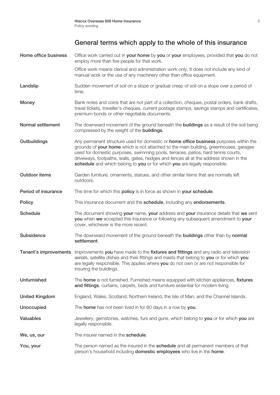| Home office business  | Office work carried out in your home by you or your employees, provided that you do not<br>employ more than five people for that work.                                                                                                                                                                                                                                                                                                     |
|-----------------------|--------------------------------------------------------------------------------------------------------------------------------------------------------------------------------------------------------------------------------------------------------------------------------------------------------------------------------------------------------------------------------------------------------------------------------------------|
|                       | Office work means clerical and administration work only. It does not include any kind of<br>manual work or the use of any machinery other than office equipment.                                                                                                                                                                                                                                                                           |
| Landslip              | Sudden movement of soil on a slope or gradual creep of soil on a slope over a period of<br>time.                                                                                                                                                                                                                                                                                                                                           |
| <b>Money</b>          | Bank notes and coins that are not part of a collection, cheques, postal orders, bank drafts,<br>travel tickets, traveller's cheques, current postage stamps, savings stamps and certificates,<br>premium bonds or other negotiable documents.                                                                                                                                                                                              |
| Normal settlement     | The downward movement of the ground beneath the <b>buildings</b> as a result of the soil being<br>compressed by the weight of the <b>buildings</b> .                                                                                                                                                                                                                                                                                       |
| Outbuildings          | Any permanent structure used for domestic or home office business purposes within the<br>grounds of your home which is not attached to the main building, greenhouses, garages<br>used for domestic purposes, swimming pools, terraces, patios, hard tennis courts,<br>driveways, footpaths, walls, gates, hedges and fences all at the address shown in the<br>schedule and which belong to you or for which you are legally responsible. |
| Outdoor items         | Garden furniture, ornaments, statues, and other similar items that are normally left<br>outdoors.                                                                                                                                                                                                                                                                                                                                          |
| Period of insurance   | The time for which this policy is in force as shown in your schedule.                                                                                                                                                                                                                                                                                                                                                                      |
| <b>Policy</b>         | This insurance document and the schedule, including any endorsements.                                                                                                                                                                                                                                                                                                                                                                      |
| <b>Schedule</b>       | The document showing your name, your address and your insurance details that we sent<br>you when we accepted this insurance or following any subsequent amendment to your<br>cover, whichever is the more recent.                                                                                                                                                                                                                          |
| Subsidence            | The downward movement of the ground beneath the <b>buildings</b> other than by normal<br>settlement.                                                                                                                                                                                                                                                                                                                                       |
| Tenant's improvements | Improvements you have made to the fixtures and fittings and any radio and television<br>aerials, satellite dishes and their fittings and masts that belong to you or for which you<br>are legally responsible. This applies where you do not own or are not responsible for<br>insuring the buildings.                                                                                                                                     |
| <b>Unfurnished</b>    | The home is not furnished. Furnished means equipped with kitchen appliances, fixtures<br>and fittings, curtains, carpets, beds and furniture essential for modern living.                                                                                                                                                                                                                                                                  |
| <b>United Kingdom</b> | England, Wales, Scotland, Northern Ireland, the Isle of Man, and the Channel Islands.                                                                                                                                                                                                                                                                                                                                                      |
| <b>Unoccupied</b>     | The home has not been lived in for 60 days in a row by you.                                                                                                                                                                                                                                                                                                                                                                                |
| <b>Valuables</b>      | Jewellery, gemstones, watches, furs and guns, which belong to you or for which you are<br>legally responsible.                                                                                                                                                                                                                                                                                                                             |
| We, us, our           | The insurer named in the schedule.                                                                                                                                                                                                                                                                                                                                                                                                         |
| You, your             | The person named as the insured in the <b>schedule</b> and all permanent members of that<br>person's household including <b>domestic employees</b> who live in the <b>home</b> .                                                                                                                                                                                                                                                           |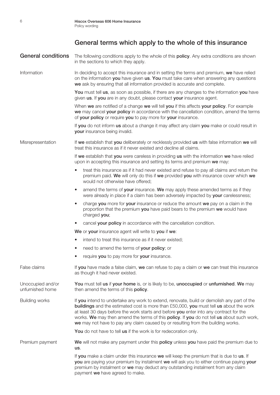| <b>General conditions</b>             | The following conditions apply to the whole of this <b>policy</b> . Any extra conditions are shown<br>in the sections to which they apply.                                                                                                                                                                                                                                                                                                                      |
|---------------------------------------|-----------------------------------------------------------------------------------------------------------------------------------------------------------------------------------------------------------------------------------------------------------------------------------------------------------------------------------------------------------------------------------------------------------------------------------------------------------------|
| Information                           | In deciding to accept this insurance and in setting the terms and premium, we have relied<br>on the information you have given us. You must take care when answering any questions<br>we ask by ensuring that all information provided is accurate and complete.                                                                                                                                                                                                |
|                                       | You must tell us, as soon as possible, if there are any changes to the information you have<br>given us. If you are in any doubt, please contact your insurance agent.                                                                                                                                                                                                                                                                                          |
|                                       | When we are notified of a change we will tell you if this affects your policy. For example<br>we may cancel your policy in accordance with the cancellation condition, amend the terms<br>of your policy or require you to pay more for your insurance.                                                                                                                                                                                                         |
|                                       | If you do not inform us about a change it may affect any claim you make or could result in<br>your insurance being invalid.                                                                                                                                                                                                                                                                                                                                     |
| Misrepresentation                     | If we establish that you deliberately or recklessly provided us with false information we will<br>treat this insurance as if it never existed and decline all claims.                                                                                                                                                                                                                                                                                           |
|                                       | If we establish that you were careless in providing us with the information we have relied<br>upon in accepting this insurance and setting its terms and premium we may:                                                                                                                                                                                                                                                                                        |
|                                       | treat this insurance as if it had never existed and refuse to pay all claims and return the<br>premium paid. We will only do this if we provided you with insurance cover which we<br>would not otherwise have offered;                                                                                                                                                                                                                                         |
|                                       | amend the terms of your insurance. We may apply these amended terms as if they<br>$\bullet$<br>were already in place if a claim has been adversely impacted by your carelessness;                                                                                                                                                                                                                                                                               |
|                                       | charge you more for your insurance or reduce the amount we pay on a claim in the<br>$\bullet$<br>proportion that the premium you have paid bears to the premium we would have<br>charged you;                                                                                                                                                                                                                                                                   |
|                                       | cancel your policy in accordance with the cancellation condition.<br>$\bullet$                                                                                                                                                                                                                                                                                                                                                                                  |
|                                       | We or your insurance agent will write to you if we:                                                                                                                                                                                                                                                                                                                                                                                                             |
|                                       | intend to treat this insurance as if it never existed;<br>$\bullet$                                                                                                                                                                                                                                                                                                                                                                                             |
|                                       | need to amend the terms of your policy; or<br>$\bullet$                                                                                                                                                                                                                                                                                                                                                                                                         |
|                                       | require you to pay more for your insurance.                                                                                                                                                                                                                                                                                                                                                                                                                     |
| False claims                          | If you have made a false claim, we can refuse to pay a claim or we can treat this insurance<br>as though it had never existed.                                                                                                                                                                                                                                                                                                                                  |
| Unoccupied and/or<br>unfurnished home | You must tell us if your home is, or is likely to be, unoccupied or unfurnished. We may<br>then amend the terms of this policy.                                                                                                                                                                                                                                                                                                                                 |
| <b>Building works</b>                 | If you intend to undertake any work to extend, renovate, build or demolish any part of the<br>buildings and the estimated cost is more than £50,000, you must tell us about the work<br>at least 30 days before the work starts and before you enter into any contract for the<br>works. We may then amend the terms of this policy. If you do not tell us about such work,<br>we may not have to pay any claim caused by or resulting from the building works. |
|                                       | You do not have to tell us if the work is for redecoration only.                                                                                                                                                                                                                                                                                                                                                                                                |
| Premium payment                       | We will not make any payment under this policy unless you have paid the premium due to<br>us.                                                                                                                                                                                                                                                                                                                                                                   |
|                                       | If you make a claim under this insurance we will keep the premium that is due to us. If<br>you are paying your premium by instalment we will ask you to either continue paying your<br>premium by instalment or we may deduct any outstanding instalment from any claim<br>payment we have agreed to make.                                                                                                                                                      |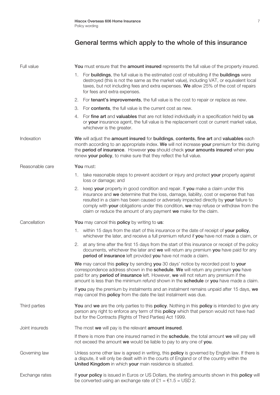| Full value      | You must ensure that the amount insured represents the full value of the property insured.                                                                                                                                                                                                                                                                                                                                           |
|-----------------|--------------------------------------------------------------------------------------------------------------------------------------------------------------------------------------------------------------------------------------------------------------------------------------------------------------------------------------------------------------------------------------------------------------------------------------|
|                 | 1. For buildings, the full value is the estimated cost of rebuilding if the buildings were<br>destroyed (this is not the same as the market value), including VAT, or equivalent local<br>taxes, but not including fees and extra expenses. We allow 25% of the cost of repairs<br>for fees and extra expenses.                                                                                                                      |
|                 | 2.<br>For <b>tenant's improvements</b> , the full value is the cost to repair or replace as new.                                                                                                                                                                                                                                                                                                                                     |
|                 | For contents, the full value is the current cost as new.<br>3.                                                                                                                                                                                                                                                                                                                                                                       |
|                 | For fine art and valuables that are not listed individually in a specification held by us<br>4.<br>or your insurance agent, the full value is the replacement cost or current market value,<br>whichever is the greater.                                                                                                                                                                                                             |
| Indexation      | We will adjust the amount insured for buildings, contents, fine art and valuables each<br>month according to an appropriate index. We will not increase your premium for this during<br>the period of insurance. However you should check your amounts insured when you<br>renew your policy, to make sure that they reflect the full value.                                                                                         |
| Reasonable care | You must:                                                                                                                                                                                                                                                                                                                                                                                                                            |
|                 | 1. take reasonable steps to prevent accident or injury and protect your property against<br>loss or damage; and                                                                                                                                                                                                                                                                                                                      |
|                 | 2.<br>keep your property in good condition and repair. If you make a claim under this<br>insurance and we determine that the loss, damage, liability, cost or expense that has<br>resulted in a claim has been caused or adversely impacted directly by your failure to<br>comply with your obligations under this condition, we may refuse or withdraw from the<br>claim or reduce the amount of any payment we make for the claim. |
| Cancellation    | You may cancel this policy by writing to us:                                                                                                                                                                                                                                                                                                                                                                                         |
|                 | 1. within 15 days from the start of this insurance or the date of receipt of your policy,<br>whichever the later, and receive a full premium refund if you have not made a claim, or                                                                                                                                                                                                                                                 |
|                 | at any time after the first 15 days from the start of this insurance or receipt of the policy<br>2.<br>documents, whichever the later and we will return any premium you have paid for any<br>period of insurance left provided you have not made a claim.                                                                                                                                                                           |
|                 | We may cancel this policy by sending you 30 days' notice by recorded post to your<br>correspondence address shown in the schedule. We will return any premium you have<br>paid for any <b>period of insurance</b> left. However, we will not return any premium if the<br>amount is less than the minimum refund shown in the schedule or you have made a claim.                                                                     |
|                 | If you pay the premium by instalments and an instalment remains unpaid after 15 days, we<br>may cancel this <b>policy</b> from the date the last instalment was due.                                                                                                                                                                                                                                                                 |
| Third parties   | You and we are the only parties to this policy. Nothing in this policy is intended to give any<br>person any right to enforce any term of this policy which that person would not have had<br>but for the Contracts (Rights of Third Parties) Act 1999.                                                                                                                                                                              |
| Joint insureds  | The most we will pay is the relevant amount insured.                                                                                                                                                                                                                                                                                                                                                                                 |
|                 | If there is more than one insured named in the schedule, the total amount we will pay will<br>not exceed the amount we would be liable to pay to any one of you.                                                                                                                                                                                                                                                                     |
| Governing law   | Unless some other law is agreed in writing, this policy is governed by English law. If there is<br>a dispute, it will only be dealt with in the courts of England or of the country within the<br>United Kingdom in which your main residence is situated.                                                                                                                                                                           |
| Exchange rates  | If your policy is issued in Euros or US Dollars, the sterling amounts shown in this policy will<br>be converted using an exchange rate of $£1 = €1.5 = USD 2$ .                                                                                                                                                                                                                                                                      |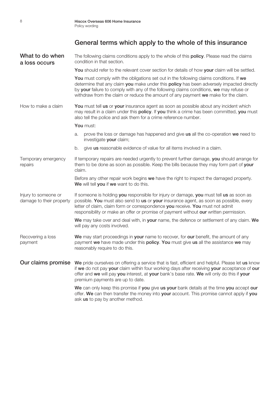| What to do when<br>a loss occurs                 | The following claims conditions apply to the whole of this <b>policy</b> . Please read the claims<br>condition in that section.                                                                                                                                                                                                                                     |
|--------------------------------------------------|---------------------------------------------------------------------------------------------------------------------------------------------------------------------------------------------------------------------------------------------------------------------------------------------------------------------------------------------------------------------|
|                                                  | You should refer to the relevant cover section for details of how your claim will be settled.                                                                                                                                                                                                                                                                       |
|                                                  | You must comply with the obligations set out in the following claims conditions. If we<br>determine that any claim you make under this policy has been adversely impacted directly<br>by your failure to comply with any of the following claims conditions, we may refuse or<br>withdraw from the claim or reduce the amount of any payment we make for the claim. |
| How to make a claim                              | You must tell us or your insurance agent as soon as possible about any incident which<br>may result in a claim under this policy. If you think a crime has been committed, you must<br>also tell the police and ask them for a crime reference number.                                                                                                              |
|                                                  | You must:                                                                                                                                                                                                                                                                                                                                                           |
|                                                  | prove the loss or damage has happened and give us all the co-operation we need to<br>a.<br>investigate your claim;                                                                                                                                                                                                                                                  |
|                                                  | give us reasonable evidence of value for all items involved in a claim.<br>b.                                                                                                                                                                                                                                                                                       |
| Temporary emergency<br>repairs                   | If temporary repairs are needed urgently to prevent further damage, you should arrange for<br>them to be done as soon as possible. Keep the bills because they may form part of your<br>claim.                                                                                                                                                                      |
|                                                  | Before any other repair work begins we have the right to inspect the damaged property.<br>We will tell you if we want to do this.                                                                                                                                                                                                                                   |
| Injury to someone or<br>damage to their property | If someone is holding you responsible for injury or damage, you must tell us as soon as<br>possible. You must also send to us or your insurance agent, as soon as possible, every<br>letter of claim, claim form or correspondence you receive. You must not admit<br>responsibility or make an offer or promise of payment without our written permission.         |
|                                                  | We may take over and deal with, in your name, the defence or settlement of any claim. We<br>will pay any costs involved.                                                                                                                                                                                                                                            |
| Recovering a loss<br>payment                     | We may start proceedings in your name to recover, for our benefit, the amount of any<br>payment we have made under this policy. You must give us all the assistance we may<br>reasonably require to do this.                                                                                                                                                        |
|                                                  | Our claims promise We pride ourselves on offering a service that is fast, efficient and helpful. Please let us know<br>if we do not pay your claim within four working days after receiving your acceptance of our<br>offer and we will pay you interest, at your bank's base rate. We will only do this if your<br>premium payments are up to date.                |
|                                                  | We can only keep this promise if you give us your bank details at the time you accept our<br>offer. We can then transfer the money into your account. This promise cannot apply if you<br>ask us to pay by another method.                                                                                                                                          |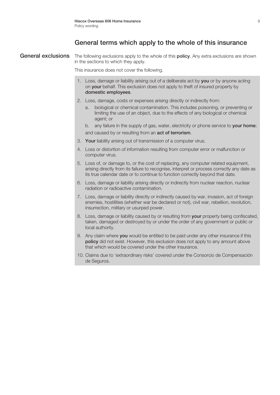General exclusions The following exclusions apply to the whole of this policy. Any extra exclusions are shown in the sections to which they apply.

This insurance does not cover the following.

- 1. Loss, damage or liability arising out of a deliberate act by you or by anyone acting on your behalf. This exclusion does not apply to theft of insured property by domestic employees.
- 2. Loss, damage, costs or expenses arising directly or indirectly from:
	- biological or chemical contamination. This includes poisoning, or preventing or limiting the use of an object, due to the effects of any biological or chemical agent; or
	- b. any failure in the supply of gas, water, electricity or phone service to your home; and caused by or resulting from an **act of terrorism**.
- 3. Your liability arising out of transmission of a computer virus.
- 4. Loss or distortion of information resulting from computer error or malfunction or computer virus.
- 5. Loss of, or damage to, or the cost of replacing, any computer related equipment, arising directly from its failure to recognise, interpret or process correctly any date as its true calendar date or to continue to function correctly beyond that date.
- 6. Loss, damage or liability arising directly or indirectly from nuclear reaction, nuclear radiation or radioactive contamination.
- 7. Loss, damage or liability directly or indirectly caused by war, invasion, act of foreign enemies, hostilities (whether war be declared or not), civil war, rebellion, revolution, insurrection, military or usurped power.
- 8. Loss, damage or liability caused by or resulting from your property being confiscated, taken, damaged or destroyed by or under the order of any government or public or local authority.
- 9. Any claim where you would be entitled to be paid under any other insurance if this policy did not exist. However, this exclusion does not apply to any amount above that which would be covered under the other insurance.
- 10. Claims due to 'extraordinary risks' covered under the Consorcio de Compensación de Seguros.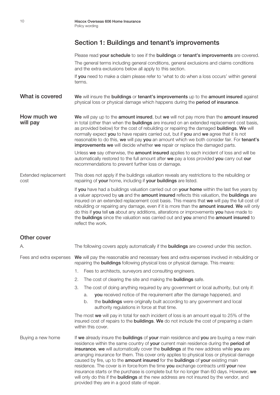#### Section 1: Buildings and tenant's improvements

Please read your schedule to see if the buildings or tenant's improvements are covered.

The general terms including general conditions, general exclusions and claims conditions and the extra exclusions below all apply to this section.

If you need to make a claim please refer to 'what to do when a loss occurs' within general terms.

What is covered We will insure the buildings or tenant's improvements up to the amount insured against physical loss or physical damage which happens during the period of insurance.

**How much we We will pay up to the amount insured, but we will not pay more than the amount insured will pay** in total (other than when the **buildings** are insured on an extended replacement cost basis, in total (other than when the **buildings** are insured on an extended replacement cost basis, as provided below) for the cost of rebuilding or repairing the damaged **buildings. We** will normally expect you to have repairs carried out, but if you and we agree that it is not reasonable to do this, we will pay you an amount which we both consider fair. For tenant's improvements we will decide whether we repair or replace the damaged parts.

> Unless we say otherwise, the amount insured applies to each incident of loss and will be automatically restored to the full amount after we pay a loss provided you carry out our recommendations to prevent further loss or damage.

Extended replacement This does not apply if the buildings valuation reveals any restrictions to the rebuilding or cost repairing of your home, including if your buildings are listed.

> If you have had a buildings valuation carried out on your home within the last five years by a valuer approved by us and the amount insured reflects this valuation, the buildings are insured on an extended replacement cost basis. This means that we will pay the full cost of rebuilding or repairing any damage, even if it is more than the **amount insured. We** will only do this if you tell us about any additions, alterations or improvements you have made to the buildings since the valuation was carried out and you amend the amount insured to reflect the work.

| Other cover             |                                                                                                                                                                                                                                                                                                                                                                                                                                                                                                                                                                                                                                                                                                                                                                 |
|-------------------------|-----------------------------------------------------------------------------------------------------------------------------------------------------------------------------------------------------------------------------------------------------------------------------------------------------------------------------------------------------------------------------------------------------------------------------------------------------------------------------------------------------------------------------------------------------------------------------------------------------------------------------------------------------------------------------------------------------------------------------------------------------------------|
| А.                      | The following covers apply automatically if the <b>buildings</b> are covered under this section.                                                                                                                                                                                                                                                                                                                                                                                                                                                                                                                                                                                                                                                                |
| Fees and extra expenses | We will pay the reasonable and necessary fees and extra expenses involved in rebuilding or<br>repairing the <b>buildings</b> following physical loss or physical damage. This means:                                                                                                                                                                                                                                                                                                                                                                                                                                                                                                                                                                            |
|                         | 1.<br>Fees to architects, surveyors and consulting engineers.                                                                                                                                                                                                                                                                                                                                                                                                                                                                                                                                                                                                                                                                                                   |
|                         | 2.<br>The cost of clearing the site and making the <b>buildings</b> safe.                                                                                                                                                                                                                                                                                                                                                                                                                                                                                                                                                                                                                                                                                       |
|                         | The cost of doing anything required by any government or local authority, but only if:<br>3.<br>you received notice of the requirement after the damage happened, and<br>a.<br>the <b>buildings</b> were originally built according to any government and local<br>b.<br>authority regulations in force at that time.                                                                                                                                                                                                                                                                                                                                                                                                                                           |
|                         | The most we will pay in total for each incident of loss is an amount equal to 25% of the<br>insured cost of repairs to the <b>buildings. We</b> do not include the cost of preparing a claim<br>within this cover.                                                                                                                                                                                                                                                                                                                                                                                                                                                                                                                                              |
| Buying a new home       | If we already insure the buildings of your main residence and you are buying a new main<br>residence within the same country of your current main residence during the period of<br>insurance, we will automatically cover the buildings at the new address while you are<br>arranging insurance for them. This cover only applies to physical loss or physical damage<br>caused by fire, up to the <b>amount insured</b> for the <b>buildings</b> of your existing main<br>residence. The cover is in force from the time you exchange contracts until your new<br>insurance starts or the purchase is complete but for no longer than 60 days. However, we<br>will only do this if the <b>buildings</b> at the new address are not insured by the vendor, and |

provided they are in a good state of repair.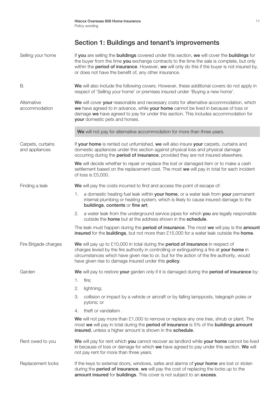# Section 1: Buildings and tenant's improvements

| Selling your home                   | If you are selling the buildings covered under this section, we will cover the buildings for<br>the buyer from the time you exchange contracts to the time the sale is complete, but only<br>within the <b>period of insurance</b> . However, we will only do this if the buyer is not insured by,<br>or does not have the benefit of, any other insurance. |
|-------------------------------------|-------------------------------------------------------------------------------------------------------------------------------------------------------------------------------------------------------------------------------------------------------------------------------------------------------------------------------------------------------------|
| Β.                                  | We will also include the following covers. However, these additional covers do not apply in<br>respect of 'Selling your home' or premises insured under 'Buying a new home'.                                                                                                                                                                                |
| Alternative<br>accommodation        | We will cover your reasonable and necessary costs for alternative accommodation, which<br>we have agreed to in advance, while your home cannot be lived in because of loss or<br>damage we have agreed to pay for under this section. This includes accommodation for<br>your domestic pets and horses.                                                     |
|                                     | We will not pay for alternative accommodation for more than three years.                                                                                                                                                                                                                                                                                    |
| Carpets, curtains<br>and appliances | If your home is rented out unfurnished, we will also insure your carpets, curtains and<br>domestic appliances under this section against physical loss and physical damage<br>occurring during the <b>period of insurance</b> , provided they are not insured elsewhere.                                                                                    |
|                                     | We will decide whether to repair or replace the lost or damaged item or to make a cash<br>settlement based on the replacement cost. The most we will pay in total for each incident<br>of loss is £5,000.                                                                                                                                                   |
| Finding a leak                      | We will pay the costs incurred to find and access the point of escape of:                                                                                                                                                                                                                                                                                   |
|                                     | a domestic heating fuel leak within your home, or a water leak from your permanent<br>1.<br>internal plumbing or heating system, which is likely to cause insured damage to the<br>buildings, contents or fine art;                                                                                                                                         |
|                                     | a water leak from the underground service pipes for which you are legally responsible<br>2.<br>outside the <b>home</b> but at the address shown in the <b>schedule</b> .                                                                                                                                                                                    |
|                                     | The leak must happen during the period of insurance. The most we will pay is the amount<br>insured for the buildings, but not more than £15,000 for a water leak outside the home.                                                                                                                                                                          |
| Fire Brigade charges                | We will pay up to £10,000 in total during the period of insurance in respect of<br>charges levied by the fire authority in controlling or extinguishing a fire at your home in<br>circumstances which have given rise to or, but for the action of the fire authority, would<br>have given rise to damage insured under this policy.                        |
| Garden                              | We will pay to restore your garden only if it is damaged during the period of insurance by:                                                                                                                                                                                                                                                                 |
|                                     | fire;<br>1.                                                                                                                                                                                                                                                                                                                                                 |
|                                     | 2.<br>lightning;                                                                                                                                                                                                                                                                                                                                            |
|                                     | З.<br>collision or impact by a vehicle or aircraft or by falling lampposts, telegraph poles or<br>pylons; or                                                                                                                                                                                                                                                |
|                                     | theft or vandalism.<br>4.                                                                                                                                                                                                                                                                                                                                   |
|                                     | We will not pay more than $£1,000$ to remove or replace any one tree, shrub or plant. The<br>most we will pay in total during the period of insurance is 5% of the buildings amount<br>insured, unless a higher amount is shown in the schedule.                                                                                                            |
| Rent owed to you                    | We will pay for rent which you cannot recover as landlord while your home cannot be lived<br>in because of loss or damage for which we have agreed to pay under this section. We will<br>not pay rent for more than three years.                                                                                                                            |
| Replacement locks                   | If the keys to external doors, windows, safes and alarms of your home are lost or stolen<br>during the period of insurance, we will pay the cost of replacing the locks up to the<br>amount insured for buildings. This cover is not subject to an excess.                                                                                                  |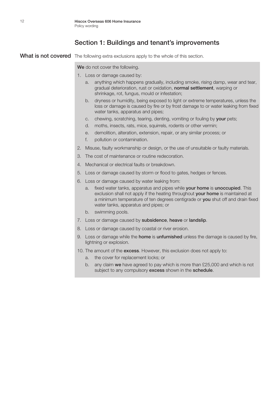#### Section 1: Buildings and tenant's improvements

What is not covered The following extra exclusions apply to the whole of this section.

We do not cover the following.

- 1. Loss or damage caused by:
	- a. anything which happens gradually, including smoke, rising damp, wear and tear, gradual deterioration, rust or oxidation, normal settlement, warping or shrinkage, rot, fungus, mould or infestation;
	- b. dryness or humidity, being exposed to light or extreme temperatures, unless the loss or damage is caused by fire or by frost damage to or water leaking from fixed water tanks, apparatus and pipes;
	- c. chewing, scratching, tearing, denting, vomiting or fouling by your pets;
	- d. moths, insects, rats, mice, squirrels, rodents or other vermin;
	- e. demolition, alteration, extension, repair, or any similar process; or
	- f. pollution or contamination.
- 2. Misuse, faulty workmanship or design, or the use of unsuitable or faulty materials.
- 3. The cost of maintenance or routine redecoration.
- 4. Mechanical or electrical faults or breakdown.
- 5. Loss or damage caused by storm or flood to gates, hedges or fences.
- 6. Loss or damage caused by water leaking from:
	- a. fixed water tanks, apparatus and pipes while your home is unoccupied. This exclusion shall not apply if the heating throughout **vour home** is maintained at a minimum temperature of ten degrees centigrade or you shut off and drain fixed water tanks, apparatus and pipes; or
	- b. swimming pools.
- 7. Loss or damage caused by subsidence, heave or landslip.
- 8. Loss or damage caused by coastal or river erosion.
- 9. Loss or damage while the **home** is unfurnished unless the damage is caused by fire, lightning or explosion.
- 10. The amount of the excess. However, this exclusion does not apply to:
	- a. the cover for replacement locks; or
	- b. any claim we have agreed to pay which is more than £25,000 and which is not subject to any compulsory **excess** shown in the **schedule**.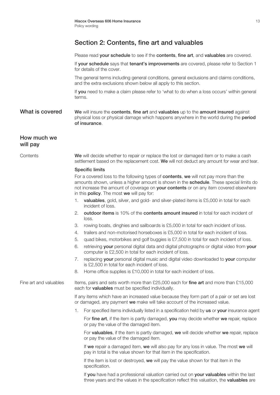Please read **your schedule** to see if the **contents**, fine art, and valuables are covered.

If your schedule says that tenant's improvements are covered, please refer to Section 1 for details of the cover.

The general terms including general conditions, general exclusions and claims conditions, and the extra exclusions shown below all apply to this section.

If you need to make a claim please refer to 'what to do when a loss occurs' within general terms.

What is covered We will insure the contents, fine art and valuables up to the amount insured against physical loss or physical damage which happens anywhere in the world during the **period** of insurance.

#### How much we will pay

Contents We will decide whether to repair or replace the lost or damaged item or to make a cash settlement based on the replacement cost. We will not deduct any amount for wear and tear.

#### Specific limits

For a covered loss to the following types of contents, we will not pay more than the amounts shown, unless a higher amount is shown in the **schedule**. These special limits do not increase the amount of coverage on **your contents** or on any item covered elsewhere in this **policy**. The most we will pay for:

- 1. valuables, gold, silver, and gold- and silver-plated items is £5,000 in total for each incident of loss.
- 2. outdoor items is 10% of the contents amount insured in total for each incident of loss.
- 3. rowing boats, dinghies and sailboards is £5,000 in total for each incident of loss.
- 4. trailers and non-motorised horseboxes is £5,000 in total for each incident of loss.
- 5. quad bikes, motorbikes and golf buggies is £7,500 in total for each incident of loss.
- 6. retrieving your personal digital data and digital photographs or digital video from your computer is £2,500 in total for each incident of loss.
- 7. replacing your personal digital music and digital video downloaded to your computer is £2,500 in total for each incident of loss.
- 8. Home office supplies is £10,000 in total for each incident of loss.

Fine art and valuables Items, pairs and sets worth more than  $£25,000$  each for fine art and more than £15,000 each for **valuables** must be specified individually.

> If any items which have an increased value because they form part of a pair or set are lost or damaged, any payment we make will take account of the increased value.

1. For specified items individually listed in a specification held by us or your insurance agent

For fine art, if the item is partly damaged, you may decide whether we repair, replace or pay the value of the damaged item.

For valuables, if the item is partly damaged, we will decide whether we repair, replace or pay the value of the damaged item.

If we repair a damaged item, we will also pay for any loss in value. The most we will pay in total is the value shown for that item in the specification.

If the item is lost or destroyed, we will pay the value shown for that item in the specification.

If you have had a professional valuation carried out on your valuables within the last three years and the values in the specification reflect this valuation, the valuables are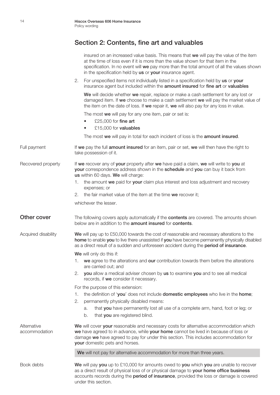|                              | insured on an increased value basis. This means that we will pay the value of the item<br>at the time of loss even if it is more than the value shown for that item in the<br>specification. In no event will we pay more than the total amount of all the values shown<br>in the specification held by us or your insurance agent. |
|------------------------------|-------------------------------------------------------------------------------------------------------------------------------------------------------------------------------------------------------------------------------------------------------------------------------------------------------------------------------------|
|                              | For unspecified items not individually listed in a specification held by us or your<br>2.<br>insurance agent but included within the amount insured for fine art or valuables                                                                                                                                                       |
|                              | We will decide whether we repair, replace or make a cash settlement for any lost or<br>damaged item. If we choose to make a cash settlement we will pay the market value of<br>the item on the date of loss. If we repair it, we will also pay for any loss in value.                                                               |
|                              | The most we will pay for any one item, pair or set is:                                                                                                                                                                                                                                                                              |
|                              | £25,000 for fine art<br>$\bullet$                                                                                                                                                                                                                                                                                                   |
|                              | £15,000 for valuables                                                                                                                                                                                                                                                                                                               |
|                              | The most we will pay in total for each incident of loss is the amount insured.                                                                                                                                                                                                                                                      |
| Full payment                 | If we pay the full amount insured for an item, pair or set, we will then have the right to<br>take possession of it.                                                                                                                                                                                                                |
| Recovered property           | If we recover any of your property after we have paid a claim, we will write to you at<br>your correspondence address shown in the schedule and you can buy it back from<br>us within 60 days. We will charge:                                                                                                                      |
|                              | the amount we paid for your claim plus interest and loss adjustment and recovery<br>1.<br>expenses; or                                                                                                                                                                                                                              |
|                              | the fair market value of the item at the time we recover it;<br>2.                                                                                                                                                                                                                                                                  |
|                              | whichever the lesser.                                                                                                                                                                                                                                                                                                               |
| Other cover                  | The following covers apply automatically if the <b>contents</b> are covered. The amounts shown<br>below are in addition to the <b>amount insured</b> for <b>contents</b> .                                                                                                                                                          |
| Acquired disability          | We will pay up to £50,000 towards the cost of reasonable and necessary alterations to the<br>home to enable you to live there unassisted if you have become permanently physically disabled<br>as a direct result of a sudden and unforeseen accident during the period of insurance.                                               |
|                              | We will only do this if:                                                                                                                                                                                                                                                                                                            |
|                              | 1. we agree to the alterations and our contribution towards them before the alterations<br>are carried out; and                                                                                                                                                                                                                     |
|                              | you allow a medical adviser chosen by us to examine you and to see all medical<br>2.<br>records, if we consider it necessary.                                                                                                                                                                                                       |
|                              | For the purpose of this extension:                                                                                                                                                                                                                                                                                                  |
|                              | the definition of 'you' does not include domestic employees who live in the home;<br>1.                                                                                                                                                                                                                                             |
|                              | 2.<br>permanently physically disabled means:                                                                                                                                                                                                                                                                                        |
|                              | that you have permanently lost all use of a complete arm, hand, foot or leg; or<br>a.                                                                                                                                                                                                                                               |
|                              | that you are registered blind.<br>b.                                                                                                                                                                                                                                                                                                |
| Alternative<br>accommodation | We will cover your reasonable and necessary costs for alternative accommodation which<br>we have agreed to in advance, while your home cannot be lived in because of loss or<br>damage we have agreed to pay for under this section. This includes accommodation for<br>your domestic pets and horses.                              |
|                              | We will not pay for alternative accommodation for more than three years.                                                                                                                                                                                                                                                            |
| Book debts                   | We will pay you up to £10,000 for amounts owed to you which you are unable to recover<br>as a direct result of physical loss of or physical damage to your home office business<br>accounts records during the period of insurance, provided the loss or damage is covered<br>under this section.                                   |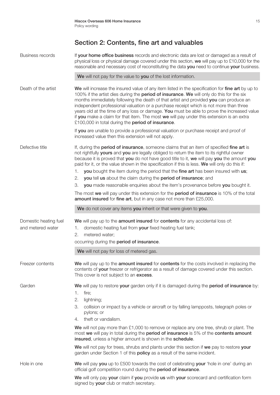| Business records      | If your home office business records and electronic data are lost or damaged as a result of<br>physical loss or physical damage covered under this section, we will pay up to £10,000 for the<br>reasonable and necessary cost of reconstituting the data you need to continue your business.                                                                                                                                                                                                                                                                                                                                 |
|-----------------------|-------------------------------------------------------------------------------------------------------------------------------------------------------------------------------------------------------------------------------------------------------------------------------------------------------------------------------------------------------------------------------------------------------------------------------------------------------------------------------------------------------------------------------------------------------------------------------------------------------------------------------|
|                       | We will not pay for the value to you of the lost information.                                                                                                                                                                                                                                                                                                                                                                                                                                                                                                                                                                 |
| Death of the artist   | We will increase the insured value of any item listed in the specification for fine art by up to<br>100% if the artist dies during the period of insurance. We will only do this for the six<br>months immediately following the death of that artist and provided you can produce an<br>independent professional valuation or a purchase receipt which is not more than three<br>years old at the time of any loss or damage. You must be able to prove the increased value<br>if you make a claim for that item. The most we will pay under this extension is an extra<br>£100,000 in total during the period of insurance. |
|                       | If you are unable to provide a professional valuation or purchase receipt and proof of<br>increased value then this extension will not apply.                                                                                                                                                                                                                                                                                                                                                                                                                                                                                 |
| Defective title       | If, during the period of insurance, someone claims that an item of specified fine art is<br>not rightfully yours and you are legally obliged to return the item to its rightful owner<br>because it is proved that you do not have good title to it, we will pay you the amount you<br>paid for it, or the value shown in the specification if this is less. We will only do this if:                                                                                                                                                                                                                                         |
|                       | you bought the item during the period that the fine art has been insured with us;<br>1.<br>you tell us about the claim during the period of insurance; and<br>2.                                                                                                                                                                                                                                                                                                                                                                                                                                                              |
|                       | you made reasonable enquiries about the item's provenance before you bought it.<br>З.                                                                                                                                                                                                                                                                                                                                                                                                                                                                                                                                         |
|                       | The most we will pay under this extension for the period of insurance is 10% of the total                                                                                                                                                                                                                                                                                                                                                                                                                                                                                                                                     |
|                       | amount insured for fine art, but in any case not more than £25,000.                                                                                                                                                                                                                                                                                                                                                                                                                                                                                                                                                           |
|                       | We do not cover any items you inherit or that were given to you.                                                                                                                                                                                                                                                                                                                                                                                                                                                                                                                                                              |
| Domestic heating fuel | We will pay up to the amount insured for contents for any accidental loss of:                                                                                                                                                                                                                                                                                                                                                                                                                                                                                                                                                 |
| and metered water     | domestic heating fuel from your fixed heating fuel tank;<br>1.                                                                                                                                                                                                                                                                                                                                                                                                                                                                                                                                                                |
|                       | metered water:<br>2.                                                                                                                                                                                                                                                                                                                                                                                                                                                                                                                                                                                                          |
|                       | occurring during the period of insurance.                                                                                                                                                                                                                                                                                                                                                                                                                                                                                                                                                                                     |
|                       | We will not pay for loss of metered gas.                                                                                                                                                                                                                                                                                                                                                                                                                                                                                                                                                                                      |
| Freezer contents      | We will pay up to the amount insured for contents for the costs involved in replacing the<br>contents of your freezer or refrigerator as a result of damage covered under this section.<br>This cover is not subject to an excess.                                                                                                                                                                                                                                                                                                                                                                                            |
| Garden                | We will pay to restore your garden only if it is damaged during the period of insurance by:                                                                                                                                                                                                                                                                                                                                                                                                                                                                                                                                   |
|                       | fire;<br>1.                                                                                                                                                                                                                                                                                                                                                                                                                                                                                                                                                                                                                   |
|                       | 2.<br>lightning;                                                                                                                                                                                                                                                                                                                                                                                                                                                                                                                                                                                                              |
|                       | З.<br>collision or impact by a vehicle or aircraft or by falling lampposts, telegraph poles or<br>pylons; or                                                                                                                                                                                                                                                                                                                                                                                                                                                                                                                  |
|                       | theft or vandalism.<br>4.                                                                                                                                                                                                                                                                                                                                                                                                                                                                                                                                                                                                     |
|                       | We will not pay more than $£1,000$ to remove or replace any one tree, shrub or plant. The<br>most we will pay in total during the period of insurance is 5% of the contents amount<br>insured, unless a higher amount is shown in the schedule.                                                                                                                                                                                                                                                                                                                                                                               |
|                       | We will not pay for trees, shrubs and plants under this section if we pay to restore your<br>garden under Section 1 of this <b>policy</b> as a result of the same incident.                                                                                                                                                                                                                                                                                                                                                                                                                                                   |
| Hole in one           | We will pay you up to £500 towards the cost of celebrating your 'hole in one' during an<br>official golf competition round during the period of insurance.                                                                                                                                                                                                                                                                                                                                                                                                                                                                    |
|                       | We will only pay your claim if you provide us with your scorecard and certification form<br>signed by your club or match secretary.                                                                                                                                                                                                                                                                                                                                                                                                                                                                                           |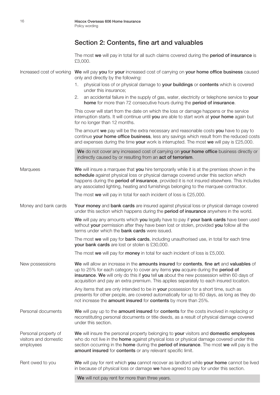The most we will pay in total for all such claims covered during the period of insurance is £3,000. Increased cost of working We will pay you for your increased cost of carrying on your home office business caused only and directly by the following: 1. physical loss of or physical damage to your buildings or contents which is covered under this insurance; 2. an accidental failure in the supply of gas, water, electricity or telephone service to your home for more than 72 consecutive hours during the period of insurance. This cover will start from the date on which the loss or damage happens or the service interruption starts. It will continue until you are able to start work at your home again but for no longer than 12 months. The amount we pay will be the extra necessary and reasonable costs you have to pay to continue **vour home office business**, less any savings which result from the reduced costs and expenses during the time **your** work is interrupted. The most we will pay is £25,000. We do not cover any increased cost of carrying on your home office business directly or indirectly caused by or resulting from an **act of terrorism**. Marquees **We** will insure a marquee that **you** hire temporarily while it is at the premises shown in the schedule against physical loss or physical damage covered under this section which happens during the period of insurance, provided it is not insured elsewhere. This includes any associated lighting, heating and furnishings belonging to the marquee contractor. The most we will pay in total for each incident of loss is £25,000. Money and bank cards Your money and bank cards are insured against physical loss or physical damage covered under this section which happens during the **period of insurance** anywhere in the world. We will pay any amounts which you legally have to pay if your bank cards have been used without **your** permission after they have been lost or stolen, provided **you** follow all the terms under which the **bank cards** were issued. The most we will pay for **bank cards**, including unauthorised use, in total for each time your bank cards are lost or stolen is £30,000. The most we will pay for money in total for each incident of loss is £5,000. New possessions We will allow an increase in the **amounts insured** for **contents**, fine art and valuables of up to 25% for each category to cover any items you acquire during the period of insurance. We will only do this if you tell us about the new possession within 60 days of acquisition and pay an extra premium. This applies separately to each insured location. Any items that are only intended to be in your possession for a short time, such as presents for other people, are covered automatically for up to 60 days, as long as they do not increase the **amount insured** for **contents** by more than 25%. Personal documents We will pay up to the amount insured for contents for the costs involved in replacing or reconstituting personal documents or title deeds, as a result of physical damage covered under this section. Personal property of We will insure the personal property belonging to your visitors and domestic employees visitors and domestic who do not live in the **home** against physical loss or physical damage covered under this employees section occurring in the **home** during the **period of insurance**. The most we will pay is the amount insured for contents or any relevant specific limit. Rent owed to you **We** will pay for rent which **you** cannot recover as landlord while **your home** cannot be lived in because of physical loss or damage we have agreed to pay for under this section.

We will not pay rent for more than three years.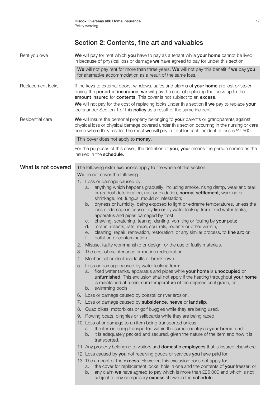| Rent you owe        | We will pay for rent which you have to pay as a tenant while your home cannot be lived<br>in because of physical loss or damage we have agreed to pay for under this section.                                                                                                                                                                                                                                                                                                                                                                                                                                                                                                                                                                                                                                                                                                                                                                                                                                                                                                                                                                                                                                                                                    |
|---------------------|------------------------------------------------------------------------------------------------------------------------------------------------------------------------------------------------------------------------------------------------------------------------------------------------------------------------------------------------------------------------------------------------------------------------------------------------------------------------------------------------------------------------------------------------------------------------------------------------------------------------------------------------------------------------------------------------------------------------------------------------------------------------------------------------------------------------------------------------------------------------------------------------------------------------------------------------------------------------------------------------------------------------------------------------------------------------------------------------------------------------------------------------------------------------------------------------------------------------------------------------------------------|
|                     | We will not pay rent for more than three years. We will not pay this benefit if we pay you<br>for alternative accommodation as a result of the same loss.                                                                                                                                                                                                                                                                                                                                                                                                                                                                                                                                                                                                                                                                                                                                                                                                                                                                                                                                                                                                                                                                                                        |
| Replacement locks   | If the keys to external doors, windows, safes and alarms of your home are lost or stolen<br>during the period of insurance, we will pay the cost of replacing the locks up to the<br>amount insured for contents. This cover is not subject to an excess.<br>We will not pay for the cost of replacing locks under this section if we pay to replace your                                                                                                                                                                                                                                                                                                                                                                                                                                                                                                                                                                                                                                                                                                                                                                                                                                                                                                        |
|                     | locks under Section 1 of this <b>policy</b> as a result of the same incident.                                                                                                                                                                                                                                                                                                                                                                                                                                                                                                                                                                                                                                                                                                                                                                                                                                                                                                                                                                                                                                                                                                                                                                                    |
| Residential care    | We will insure the personal property belonging to your parents or grandparents against<br>physical loss or physical damage covered under this section occurring in the nursing or care<br>home where they reside. The most we will pay in total for each incident of loss is £7,500.                                                                                                                                                                                                                                                                                                                                                                                                                                                                                                                                                                                                                                                                                                                                                                                                                                                                                                                                                                             |
|                     | This cover does not apply to <b>money</b> .                                                                                                                                                                                                                                                                                                                                                                                                                                                                                                                                                                                                                                                                                                                                                                                                                                                                                                                                                                                                                                                                                                                                                                                                                      |
|                     | For the purposes of this cover, the definition of you, your means the person named as the<br>insured in the schedule.                                                                                                                                                                                                                                                                                                                                                                                                                                                                                                                                                                                                                                                                                                                                                                                                                                                                                                                                                                                                                                                                                                                                            |
| What is not covered | The following extra exclusions apply to the whole of this section.                                                                                                                                                                                                                                                                                                                                                                                                                                                                                                                                                                                                                                                                                                                                                                                                                                                                                                                                                                                                                                                                                                                                                                                               |
|                     | We do not cover the following.                                                                                                                                                                                                                                                                                                                                                                                                                                                                                                                                                                                                                                                                                                                                                                                                                                                                                                                                                                                                                                                                                                                                                                                                                                   |
|                     | 1. Loss or damage caused by:<br>anything which happens gradually, including smoke, rising damp, wear and tear,<br>a.<br>or gradual deterioration, rust or oxidation, normal settlement, warping or<br>shrinkage, rot, fungus, mould or infestation;<br>dryness or humidity, being exposed to light or extreme temperatures, unless the<br>b.<br>loss or damage is caused by fire or by water leaking from fixed water tanks,<br>apparatus and pipes damaged by frost;<br>chewing, scratching, tearing, denting, vomiting or fouling by your pets;<br>C.<br>moths, insects, rats, mice, squirrels, rodents or other vermin;<br>d.<br>cleaning, repair, renovation, restoration, or any similar process, to fine art; or<br>е.<br>pollution or contamination.<br>f.<br>Misuse, faulty workmanship or design, or the use of faulty materials.<br>2.<br>The cost of maintenance or routine redecoration.<br>3.<br>Mechanical or electrical faults or breakdown.<br>4.<br>5. Loss or damage caused by water leaking from:<br>fixed water tanks, apparatus and pipes while your home is unoccupied or<br>a.<br>unfurnished. This exclusion shall not apply if the heating throughout your home<br>is maintained at a minimum temperature of ten degrees centigrade; or |
|                     | swimming pools.<br>b.                                                                                                                                                                                                                                                                                                                                                                                                                                                                                                                                                                                                                                                                                                                                                                                                                                                                                                                                                                                                                                                                                                                                                                                                                                            |
|                     | Loss or damage caused by coastal or river erosion.<br>6.                                                                                                                                                                                                                                                                                                                                                                                                                                                                                                                                                                                                                                                                                                                                                                                                                                                                                                                                                                                                                                                                                                                                                                                                         |
|                     | 7. Loss or damage caused by subsidence, heave or landslip.                                                                                                                                                                                                                                                                                                                                                                                                                                                                                                                                                                                                                                                                                                                                                                                                                                                                                                                                                                                                                                                                                                                                                                                                       |
|                     | Quad bikes, motorbikes or golf buggies while they are being used.<br>8.                                                                                                                                                                                                                                                                                                                                                                                                                                                                                                                                                                                                                                                                                                                                                                                                                                                                                                                                                                                                                                                                                                                                                                                          |
|                     | 9. Rowing boats, dinghies or sailboards while they are being raced.                                                                                                                                                                                                                                                                                                                                                                                                                                                                                                                                                                                                                                                                                                                                                                                                                                                                                                                                                                                                                                                                                                                                                                                              |
|                     | 10. Loss of or damage to an item being transported unless:<br>the item is being transported within the same country as your home; and<br>a.<br>it is adequately packed and secured, given the nature of the item and how it is<br>b.<br>transported.                                                                                                                                                                                                                                                                                                                                                                                                                                                                                                                                                                                                                                                                                                                                                                                                                                                                                                                                                                                                             |
|                     | 11. Any property belonging to visitors and <b>domestic employees</b> that is insured elsewhere.                                                                                                                                                                                                                                                                                                                                                                                                                                                                                                                                                                                                                                                                                                                                                                                                                                                                                                                                                                                                                                                                                                                                                                  |
|                     | 12. Loss caused by you not receiving goods or services you have paid for.                                                                                                                                                                                                                                                                                                                                                                                                                                                                                                                                                                                                                                                                                                                                                                                                                                                                                                                                                                                                                                                                                                                                                                                        |
|                     | 13. The amount of the excess. However, this exclusion does not apply to:<br>the cover for replacement locks, hole in one and the contents of your freezer; or<br>a.<br>any claim we have agreed to pay which is more than £25,000 and which is not<br>b.<br>subject to any compulsory excess shown in the schedule.                                                                                                                                                                                                                                                                                                                                                                                                                                                                                                                                                                                                                                                                                                                                                                                                                                                                                                                                              |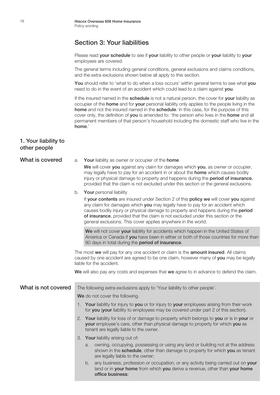#### Section 3: Your liabilities

Please read **your schedule** to see if your liability to other people or your liability to your employees are covered.

The general terms including general conditions, general exclusions and claims conditions, and the extra exclusions shown below all apply to this section.

You should refer to 'what to do when a loss occurs' within general terms to see what you need to do in the event of an accident which could lead to a claim against you.

If the insured named in the schedule is not a natural person, the cover for your liability as occupier of the **home** and for **your** personal liability only applies to the people living in the home and not the insured named in the schedule. In this case, for the purpose of this cover only, the definition of you is amended to: 'the person who lives in the home and all permanent members of that person's household including the domestic staff who live in the home.'

#### 1. Your liability to other people

#### What is covered a. Your liability as owner or occupier of the home

We will cover you against any claim for damages which you, as owner or occupier, may legally have to pay for an accident in or about the **home** which causes bodily injury or physical damage to property and happens during the period of insurance, provided that the claim is not excluded under this section or the general exclusions.

b. Your personal liability

If your contents are insured under Section 2 of this policy we will cover you against any claim for damages which you may legally have to pay for an accident which causes bodily injury or physical damage to property and happens during the period of insurance, provided that the claim is not excluded under this section or the general exclusions. This cover applies anywhere in the world.

We will not cover your liability for accidents which happen in the United States of America or Canada if **vou** have been in either or both of those countries for more than 90 days in total during the **period of insurance**.

The most we will pay for any one accident or claim is the **amount insured**. All claims caused by one accident are agreed to be one claim, however many of you may be legally liable for the accident.

We will also pay any costs and expenses that we agree to in advance to defend the claim.

#### What is not covered The following extra exclusions apply to 'Your liability to other people'.

We do not cover the following.

- 1. Your liability for injury to you or for injury to your employees arising from their work for you (your liability to employees may be covered under part 2 of this section).
- 2. Your liability for loss of or damage to property which belongs to you or is in your or your employee's care, other than physical damage to property for which you as tenant are legally liable to the owner.
- 3. Your liability arising out of:
	- owning, occupying, possessing or using any land or building not at the address shown in the schedule, other than damage to property for which you as tenant are legally liable to the owner;
	- b. any business, profession or occupation, or any activity being carried out on your land or in your home from which you derive a revenue, other than your home office business;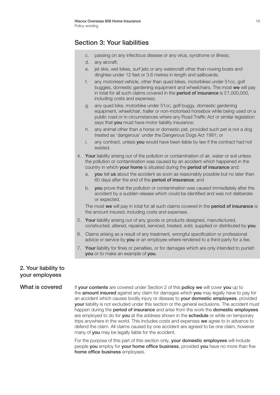### Section 3: Your liabilities

- c. passing on any infectious disease or any virus, syndrome or illness;
- d. any aircraft;
- e. jet skis, wet bikes, surf jets or any watercraft other than rowing boats and dinghies under 12 feet or 3.6 metres in length and sailboards;
- f. any motorised vehicle, other than quad bikes, motorbikes under 51cc, golf buggies, domestic gardening equipment and wheelchairs. The most we will pay in total for all such claims covered in the period of insurance is £1,000,000, including costs and expenses;
- g. any quad bike, motorbike under 51cc, golf buggy, domestic gardening equipment, wheelchair, trailer or non-motorised horsebox while being used on a public road or in circumstances where any Road Traffic Act or similar legislation says that you must have motor liability insurance;
- h. any animal other than a horse or domestic pet, provided such pet is not a dog treated as 'dangerous' under the Dangerous Dogs Act 1991; or
- i. any contract, unless **you** would have been liable by law if the contract had not existed.
- 4. Your liability arising out of the pollution or contamination of air, water or soil unless the pollution or contamination was caused by an accident which happened in the country in which your home is situated during the period of insurance and:
	- a. you tell us about the accident as soon as reasonably possible but no later than 60 days after the end of the period of insurance; and
	- b. you prove that the pollution or contamination was caused immediately after the accident by a sudden release which could be identified and was not deliberate or expected.

The most we will pay in total for all such claims covered in the period of insurance is the amount insured, including costs and expenses.

- 5. Your liability arising out of any goods or products designed, manufactured, constructed, altered, repaired, serviced, treated, sold, supplied or distributed by you.
- 6. Claims arising as a result of any treatment, wrongful specification or professional advice or service by **you** or an employee where rendered to a third-party for a fee.
- 7. Your liability for fines or penalties, or for damages which are only intended to punish you or to make an example of you.

#### 2. Your liability to your employees

What is covered If your contents are covered under Section 2 of this policy we will cover you up to the **amount insured** against any claim for damages which you may legally have to pay for an accident which causes bodily injury or disease to your domestic employees, provided your liability is not excluded under this section or the general exclusions. The accident must happen during the period of insurance and arise from the work the domestic employees are employed to do for you at the address shown in the schedule or while on temporary trips anywhere in the world. This includes costs and expenses we agree to in advance to defend the claim. All claims caused by one accident are agreed to be one claim, however many of you may be legally liable for the accident.

> For the purpose of this part of this section only, your domestic employees will include people you employ for your home office business, provided you have no more than five home office business employees.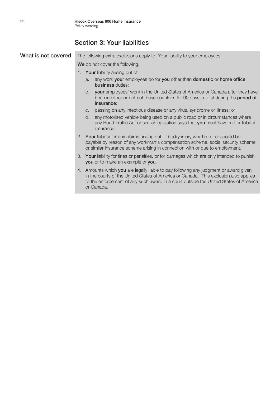×

#### Section 3: Your liabilities

| What is not covered | The following extra exclusions apply to 'Your liability to your employees'.                                                                                                                                                                                                        |
|---------------------|------------------------------------------------------------------------------------------------------------------------------------------------------------------------------------------------------------------------------------------------------------------------------------|
|                     | We do not cover the following.                                                                                                                                                                                                                                                     |
|                     | 1. Your liability arising out of:                                                                                                                                                                                                                                                  |
|                     | any work your employees do for you other than domestic or home office<br>a.<br>business duties;                                                                                                                                                                                    |
|                     | b. your employees' work in the United States of America or Canada after they have<br>been in either or both of these countries for 90 days in total during the period of<br>insurance:                                                                                             |
|                     | passing on any infectious disease or any virus, syndrome or illness; or<br>$C_{1}$                                                                                                                                                                                                 |
|                     | any motorised vehicle being used on a public road or in circumstances where<br>d.<br>any Road Traffic Act or similar legislation says that you must have motor liability<br>insurance.                                                                                             |
|                     | 2. Your liability for any claims arising out of bodily injury which are, or should be,<br>payable by reason of any workman's compensation scheme, social security scheme<br>or similar insurance scheme arising in connection with or due to employment.                           |
|                     | Your liability for fines or penalties, or for damages which are only intended to punish<br>3.<br>you or to make an example of you.                                                                                                                                                 |
|                     | 4. Amounts which you are legally liable to pay following any judgment or award given<br>in the courts of the United States of America or Canada. This exclusion also applies<br>to the enforcement of any such award in a court outside the United States of America<br>or Canada. |
|                     |                                                                                                                                                                                                                                                                                    |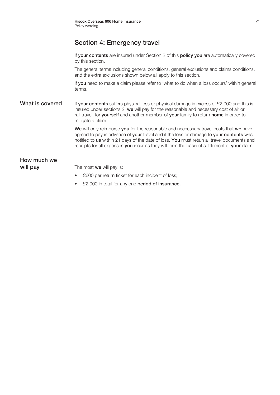### Section 4: Emergency travel

If your contents are insured under Section 2 of this policy you are automatically covered by this section.

The general terms including general conditions, general exclusions and claims conditions, and the extra exclusions shown below all apply to this section.

If you need to make a claim please refer to 'what to do when a loss occurs' within general terms.

What is covered If your contents suffers physical loss or physical damage in excess of £2,000 and this is insured under sections 2, we will pay for the reasonable and necessary cost of air or rail travel, for yourself and another member of your family to return home in order to mitigate a claim.

> We will only reimburse you for the reasonable and neccessary travel costs that we have agreed to pay in advance of your travel and if the loss or damage to your contents was notified to us within 21 days of the date of loss. You must retain all travel documents and receipts for all expenses you incur as they will form the basis of settlement of your claim.

# How much we

**will pay** The most we will pay is:

- £600 per return ticket for each incident of loss;
- £2,000 in total for any one **period of insurance.**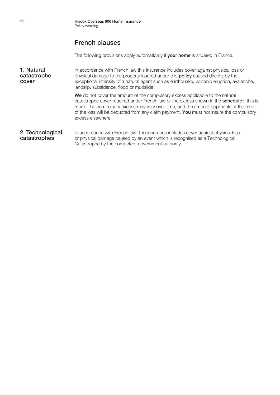#### French clauses

The following provisions apply automatically if **vour home** is situated in France.

**1. Natural** In accordance with French law this insurance includes cover against physical loss or **catastrophe** physical damage to the property insured under this **policy** caused directly by the physical damage to the property insured under this **policy** caused directly by the **cover** exceptional intensity of a natural agent such as earthquake, volcanic eruption, avalanche, landslip, subsidence, flood or mudslide.

We do not cover the amount of the compulsory excess applicable to the natural catastrophe cover required under French law or the excess shown in the schedule if this is more. The compulsory excess may vary over time, and the amount applicable at the time of the loss will be deducted from any claim payment. You must not insure the compulsory excess elsewhere.

#### 2. Technological In accordance with French law, this insurance includes cover against physical loss **catastrophes** or physical damage caused by an event which is recognised as a Technological Catastrophe by the competent government authority.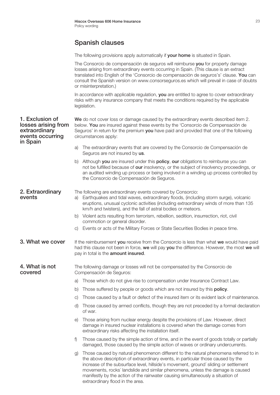# Spanish clauses

The following provisions apply automatically if your home is situated in Spain.

|                                                                                         |                                                                                                                                                                                                                                                                                            | The Consorcio de compensación de seguros will reimburse you for property damage<br>losses arising from extraordinary events occurring in Spain. (This clause is an extract<br>translated into English of the 'Consorcio de compensación de seguros's' clause. You can<br>consult the Spanish version on www.consorseguros.es which will prevail in case of doubts<br>or misinterpretation.)                                                                               |
|-----------------------------------------------------------------------------------------|--------------------------------------------------------------------------------------------------------------------------------------------------------------------------------------------------------------------------------------------------------------------------------------------|---------------------------------------------------------------------------------------------------------------------------------------------------------------------------------------------------------------------------------------------------------------------------------------------------------------------------------------------------------------------------------------------------------------------------------------------------------------------------|
|                                                                                         |                                                                                                                                                                                                                                                                                            | In accordance with applicable regulation, you are entitled to agree to cover extraordinary<br>risks with any insurance company that meets the conditions required by the applicable<br>legislation.                                                                                                                                                                                                                                                                       |
| 1. Exclusion of<br>losses arising from<br>extraordinary<br>events occurring<br>in Spain | We do not cover loss or damage caused by the extraordinary events described item 2.<br>below. You are insured against these events by the 'Consorcio de Compensación de<br>Seguros' in return for the premium you have paid and provided that one of the following<br>circumstances apply: |                                                                                                                                                                                                                                                                                                                                                                                                                                                                           |
|                                                                                         | a)                                                                                                                                                                                                                                                                                         | The extraordinary events that are covered by the Consorcio de Compensación de<br>Seguros are not insured by us.                                                                                                                                                                                                                                                                                                                                                           |
|                                                                                         | b)                                                                                                                                                                                                                                                                                         | Although you are insured under this policy, our obligations to reimburse you can<br>not be fulfilled because of our insolvency, or the subject of insolvency proceedings, or<br>an audited winding up process or being involved in a winding up process controlled by<br>the Consorcio de Compensación de Seguros.                                                                                                                                                        |
| 2. Extraordinary<br>events                                                              | a)                                                                                                                                                                                                                                                                                         | The following are extraordinary events covered by Consorcio:<br>Earthquakes and tidal waves, extraordinary floods, (including storm surge), volcanic<br>eruptions, unusual cyclonic activities (including extraordinary winds of more than 135<br>km/h and twisters), and the fall of astral bodies or meteors.                                                                                                                                                           |
|                                                                                         |                                                                                                                                                                                                                                                                                            | b) Violent acts resulting from terrorism, rebellion, sedition, insurrection, riot, civil<br>commotion or general disorder.                                                                                                                                                                                                                                                                                                                                                |
|                                                                                         | C)                                                                                                                                                                                                                                                                                         | Events or acts of the Military Forces or State Securities Bodies in peace time.                                                                                                                                                                                                                                                                                                                                                                                           |
| 3. What we cover                                                                        | If the reimbursement you receive from the Consorcio is less than what we would have paid<br>had this clause not been in force, we will pay you the difference. However, the most we will<br>pay in total is the amount insured.                                                            |                                                                                                                                                                                                                                                                                                                                                                                                                                                                           |
| 4. What is not<br>covered                                                               |                                                                                                                                                                                                                                                                                            | The following damage or losses will not be compensated by the Consorcio de<br>Compensación de Seguros:                                                                                                                                                                                                                                                                                                                                                                    |
|                                                                                         | a)                                                                                                                                                                                                                                                                                         | Those which do not give rise to compensation under Insurance Contract Law.                                                                                                                                                                                                                                                                                                                                                                                                |
|                                                                                         | D                                                                                                                                                                                                                                                                                          | Those suffered by people or goods which are not insured by this policy.                                                                                                                                                                                                                                                                                                                                                                                                   |
|                                                                                         | C)                                                                                                                                                                                                                                                                                         | Those caused by a fault or defect of the insured item or its evident lack of maintenance.                                                                                                                                                                                                                                                                                                                                                                                 |
|                                                                                         | d)                                                                                                                                                                                                                                                                                         | Those caused by armed conflicts, though they are not preceded by a formal declaration<br>of war.                                                                                                                                                                                                                                                                                                                                                                          |
|                                                                                         | $\Theta$                                                                                                                                                                                                                                                                                   | Those arising from nuclear energy despite the provisions of Law. However, direct<br>damage in insured nuclear installations is covered when the damage comes from<br>extraordinary risks affecting the installation itself.                                                                                                                                                                                                                                               |
|                                                                                         | f)                                                                                                                                                                                                                                                                                         | Those caused by the simple action of time, and in the event of goods totally or partially<br>damaged, those caused by the simple action of waves or ordinary undercurrents.                                                                                                                                                                                                                                                                                               |
|                                                                                         | $\mathcal{G}$                                                                                                                                                                                                                                                                              | Those caused by natural phenomenon different to the natural phenomena referred to in<br>the above description of extraordinary events, in particular those caused by the<br>increase of the subsurface level, hillside's movement, ground' sliding or settlement<br>movements, rocks' landslide and similar phenomena, unless the damage is caused<br>manifestly by the action of the rainwater causing simultaneously a situation of<br>extraordinary flood in the area. |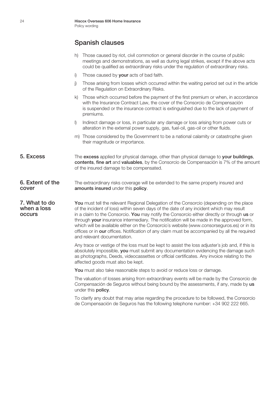#### Spanish clauses

- h) Those caused by riot, civil commotion or general disorder in the course of public meetings and demonstrations, as well as during legal strikes, except if the above acts could be qualified as extraordinary risks under the regulation of extraordinary risks.
- i) Those caused by your acts of bad faith.
- j) Those arising from losses which occurred within the waiting period set out in the article of the Regulation on Extraordinary Risks.
- k) Those which occurred before the payment of the first premium or when, in accordance with the Insurance Contract Law, the cover of the Consorcio de Compensación is suspended or the insurance contract is extinguished due to the lack of payment of premiums.
- l) Indirect damage or loss, in particular any damage or loss arising from power cuts or alteration in the external power supply, gas, fuel-oil, gas-oil or other fluids.
- m) Those considered by the Government to be a national calamity or catastrophe given their magnitude or importance.
- 5. Excess The excess applied for physical damage, other than physical damage to your buildings, contents, fine art and valuables, by the Consorcio de Compensación is 7% of the amount of the insured damage to be compensated.
- **6. Extent of the** The extraordinary risks coverage will be extended to the same property insured and **cover amounts insured** under this **policy**.

7. What to do You must tell the relevant Regional Delegation of the Consorcio (depending on the place when a loss of the incident of loss) within seven days of the date of any incident which may result when a loss of the incident of loss) within seven days of the date of any incident which may result<br> **OCCULTS** of the a claim to the Consorcio You may notify the Consorcio either directly or through u in a claim to the Consorcio. You may notify the Consorcio either directly or through us or through your insurance intermediary. The notification will be made in the approved form, which will be available either on the Consorcio´s website (www.consorseguros.es) or in its offices or in our offices. Notification of any claim must be accompanied by all the required and relevant documentation.

> Any trace or vestige of the loss must be kept to assist the loss adjuster´s job and, if this is absolutely impossible, you must submit any documentation evidencing the damage such as photographs, Deeds, videocassettes or official certificates. Any invoice relating to the affected goods must also be kept.

You must also take reasonable steps to avoid or reduce loss or damage.

The valuation of losses arising from extraordinary events will be made by the Consorcio de Compensación de Seguros without being bound by the assessments, if any, made by us under this policy.

To clarify any doubt that may arise regarding the procedure to be followed, the Consorcio de Compensación de Seguros has the following telephone number: +34 902 222 665.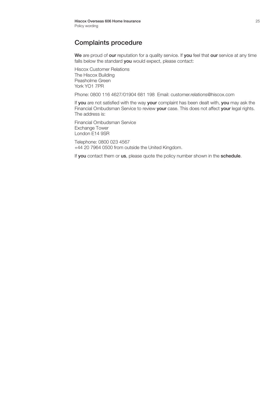#### Complaints procedure

We are proud of our reputation for a quality service. If you feel that our service at any time falls below the standard you would expect, please contact:

Hiscox Customer Relations The Hiscox Building Peasholme Green York YO1 7PR

Phone: 0800 116 4627/01904 681 198 Email: customer.relations@hiscox.com

If you are not satisfied with the way your complaint has been dealt with, you may ask the Financial Ombudsman Service to review your case. This does not affect your legal rights. The address is:

Financial Ombudsman Service Exchange Tower London E14 9SR

Telephone: 0800 023 4567 +44 20 7964 0500 from outside the United Kingdom.

If you contact them or us, please quote the policy number shown in the schedule.